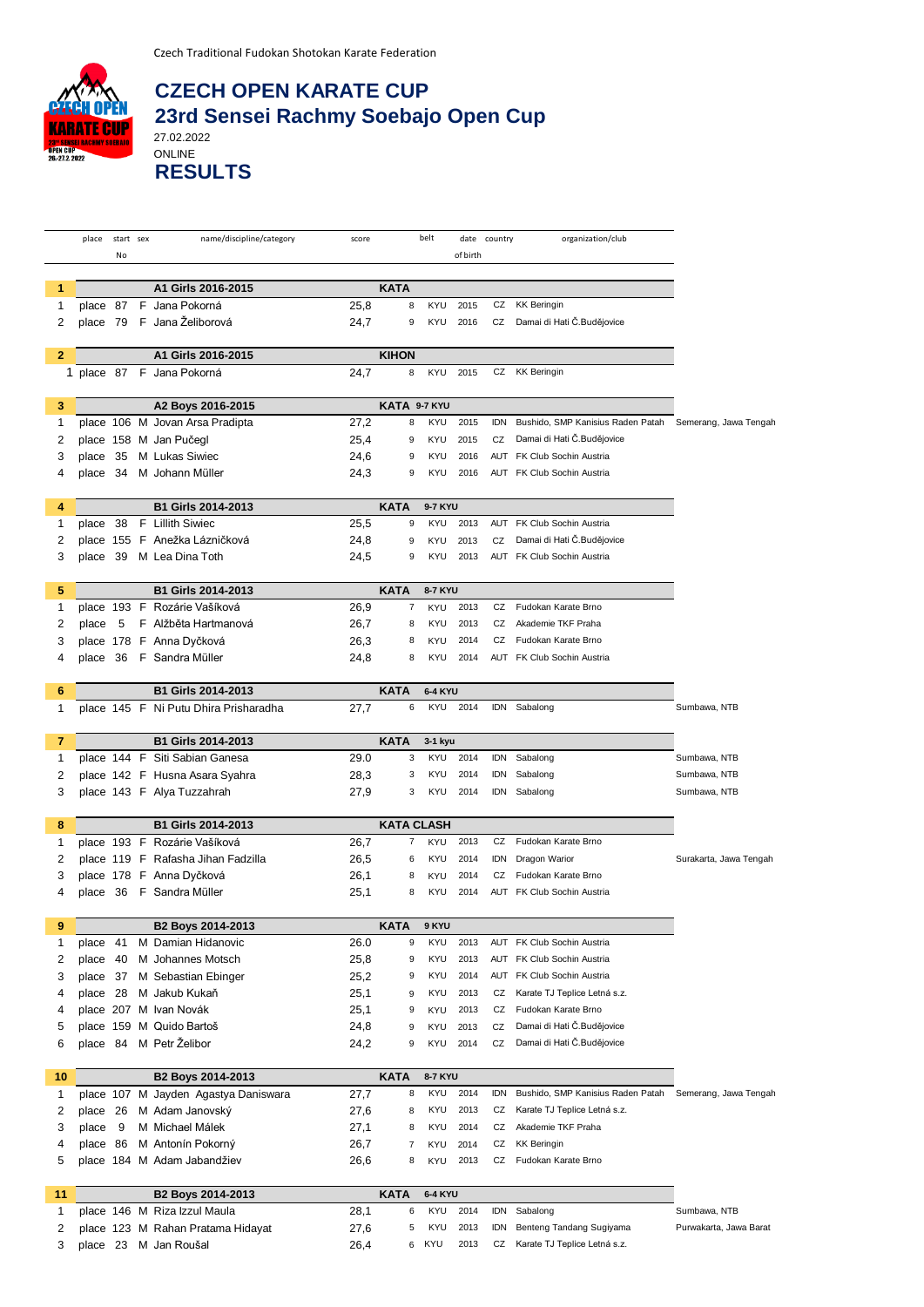

## **CZECH OPEN KARATE CUP 23rd Sensei Rachmy Soebajo Open Cup**

27.02.2022 ONLINE **RESULTS**

|              | place    | start sex | name/discipline/category              | score |                   | belt           |          | organization/club<br>date country |                                   |                        |
|--------------|----------|-----------|---------------------------------------|-------|-------------------|----------------|----------|-----------------------------------|-----------------------------------|------------------------|
|              |          | No        |                                       |       |                   |                | of birth |                                   |                                   |                        |
|              |          |           |                                       |       |                   |                |          |                                   |                                   |                        |
| 1            |          |           | A1 Girls 2016-2015                    |       | <b>KATA</b>       |                |          |                                   |                                   |                        |
| 1            |          |           | place 87 F Jana Pokorná               | 25,8  | 8                 | <b>KYU</b>     | 2015     | CZ                                | <b>KK Beringin</b>                |                        |
| 2            |          |           | place 79 F Jana Želiborová            | 24,7  | 9                 | KYU            | 2016     | CZ                                | Damai di Hati Č.Budějovice        |                        |
|              |          |           |                                       |       |                   |                |          |                                   |                                   |                        |
| $\mathbf{2}$ |          |           | A1 Girls 2016-2015                    |       | <b>KIHON</b>      |                |          |                                   |                                   |                        |
|              |          |           | 1 place 87 F Jana Pokorná             | 24,7  | 8                 | KYU            | 2015     | CZ                                | <b>KK Beringin</b>                |                        |
|              |          |           |                                       |       |                   |                |          |                                   |                                   |                        |
| 3            |          |           | A2 Boys 2016-2015                     |       | KATA 9-7 KYU      |                |          |                                   |                                   |                        |
| 1            |          |           | place 106 M Jovan Arsa Pradipta       | 27,2  | 8                 | KYU            | 2015     | <b>IDN</b>                        | Bushido, SMP Kanisius Raden Patah | Semerang, Jawa Tengah  |
| 2            |          |           | place 158 M Jan Pučegl                | 25,4  | 9                 | <b>KYU</b>     | 2015     | CZ                                | Damai di Hati Č.Budějovice        |                        |
| 3            | place 35 |           | M Lukas Siwiec                        | 24,6  | 9                 | <b>KYU</b>     | 2016     |                                   | AUT FK Club Sochin Austria        |                        |
| 4            |          |           | place 34 M Johann Müller              | 24,3  | 9                 | <b>KYU</b>     | 2016     |                                   | AUT FK Club Sochin Austria        |                        |
|              |          |           |                                       |       |                   |                |          |                                   |                                   |                        |
| 4            |          |           | <b>B1 Girls 2014-2013</b>             |       | <b>KATA</b>       | 9-7 KYU        |          |                                   |                                   |                        |
| 1            | place 38 |           | F Lillith Siwiec                      | 25,5  | 9                 | KYU            | 2013     | AUT                               | FK Club Sochin Austria            |                        |
| 2            |          |           | place 155 F Anežka Lázničková         | 24,8  | 9                 | KYU            | 2013     | CZ                                | Damai di Hati Č.Budějovice        |                        |
|              |          |           |                                       |       |                   | <b>KYU</b>     | 2013     |                                   | AUT FK Club Sochin Austria        |                        |
| 3            |          |           | place 39 M Lea Dina Toth              | 24,5  | 9                 |                |          |                                   |                                   |                        |
|              |          |           |                                       |       |                   |                |          |                                   |                                   |                        |
| 5            |          |           | <b>B1 Girls 2014-2013</b>             |       | <b>KATA</b>       | <b>8-7 KYU</b> |          |                                   |                                   |                        |
| 1            |          |           | place 193 F Rozárie Vašíková          | 26,9  | $\overline{7}$    | KYU            | 2013     | CZ                                | Fudokan Karate Brno               |                        |
| 2            | place 5  |           | F Alžběta Hartmanová                  | 26,7  | 8                 | <b>KYU</b>     | 2013     | CZ                                | Akademie TKF Praha                |                        |
| 3            |          |           | place 178 F Anna Dyčková              | 26,3  | 8                 | KYU            | 2014     | CZ                                | Fudokan Karate Brno               |                        |
| 4            |          |           | place 36 F Sandra Müller              | 24,8  | 8                 | <b>KYU</b>     | 2014     |                                   | AUT FK Club Sochin Austria        |                        |
|              |          |           |                                       |       |                   |                |          |                                   |                                   |                        |
| 6            |          |           | B1 Girls 2014-2013                    |       | <b>KATA</b>       | <b>6-4 KYU</b> |          |                                   |                                   |                        |
| 1            |          |           | place 145 F Ni Putu Dhira Prisharadha | 27,7  | 6                 | KYU            | 2014     |                                   | IDN Sabalong                      | Sumbawa, NTB           |
|              |          |           |                                       |       |                   |                |          |                                   |                                   |                        |
| 7            |          |           | <b>B1 Girls 2014-2013</b>             |       | <b>KATA</b>       | 3-1 kyu        |          |                                   |                                   |                        |
| 1            |          |           | place 144 F Siti Sabian Ganesa        | 29.0  | 3                 | KYU            | 2014     | <b>IDN</b>                        | Sabalong                          | Sumbawa, NTB           |
| 2            |          |           | place 142 F Husna Asara Syahra        | 28,3  | 3                 | <b>KYU</b>     | 2014     | <b>IDN</b>                        | Sabalong                          | Sumbawa, NTB           |
| 3            |          |           | place 143 F Alya Tuzzahrah            | 27,9  | 3                 | KYU            | 2014     | IDN                               | Sabalong                          | Sumbawa, NTB           |
|              |          |           |                                       |       |                   |                |          |                                   |                                   |                        |
| 8            |          |           | <b>B1 Girls 2014-2013</b>             |       | <b>KATA CLASH</b> |                |          |                                   |                                   |                        |
| 1            |          |           | place 193 F Rozárie Vašíková          | 26,7  | 7                 | KYU            | 2013     | CZ                                | Fudokan Karate Brno               |                        |
| 2            |          |           | place 119 F Rafasha Jihan Fadzilla    | 26,5  | 6                 | <b>KYU</b>     | 2014     | idn                               | Dragon Warior                     | Surakarta, Jawa Tengah |
| 3            |          |           | place 178 F Anna Dyčková              | 26,1  | 8                 | KYU            | 2014     | CZ                                | Fudokan Karate Brno               |                        |
| 4            |          |           | place 36 F Sandra Müller              | 25,1  | 8                 | <b>KYU</b>     | 2014     |                                   | <b>AUT</b> FK Club Sochin Austria |                        |
|              |          |           |                                       |       |                   |                |          |                                   |                                   |                        |
| 9            |          |           | B2 Boys 2014-2013                     |       | <b>KATA</b>       | 9 KYU          |          |                                   |                                   |                        |
| 1            | place    | - 41      | M Damian Hidanovic                    | 26.0  | 9                 | <b>KYU</b>     | 2013     |                                   | AUT FK Club Sochin Austria        |                        |
| 2            | place    | 40        | M Johannes Motsch                     | 25,8  | 9                 | KYU            | 2013     | AUT                               | FK Club Sochin Austria            |                        |
| 3            | place 37 |           | M Sebastian Ebinger                   | 25,2  | 9                 | <b>KYU</b>     | 2014     |                                   | AUT FK Club Sochin Austria        |                        |
| 4            | place 28 |           | M Jakub Kukaň                         | 25,1  | 9                 | <b>KYU</b>     | 2013     | CZ                                | Karate TJ Teplice Letná s.z.      |                        |
| 4            |          |           | place 207 M Ivan Novák                | 25,1  | 9                 | KYU            | 2013     | CZ                                | Fudokan Karate Brno               |                        |
| 5            |          |           | place 159 M Quido Bartoš              | 24,8  | 9                 | KYU            | 2013     | CZ                                | Damai di Hati Č.Budějovice        |                        |
| 6            | place 84 |           | M Petr Želibor                        | 24,2  | 9                 | KYU            | 2014     | CZ                                | Damai di Hati Č.Budějovice        |                        |
|              |          |           |                                       |       |                   |                |          |                                   |                                   |                        |
| 10           |          |           | B2 Boys 2014-2013                     |       | <b>KATA</b>       | 8-7 KYU        |          |                                   |                                   |                        |
| 1            |          |           | place 107 M Jayden Agastya Daniswara  | 27,7  | 8                 | KYU            | 2014     | <b>IDN</b>                        | Bushido, SMP Kanisius Raden Patah | Semerang, Jawa Tengah  |
| 2            | place 26 |           | M Adam Janovský                       | 27,6  | 8                 | KYU            | 2013     | CZ                                | Karate TJ Teplice Letná s.z.      |                        |
| 3            | place    | - 9       | M Michael Málek                       | 27,1  | 8                 | <b>KYU</b>     | 2014     | CZ                                | Akademie TKF Praha                |                        |
| 4            | place 86 |           | M Antonín Pokorný                     | 26,7  | 7                 | KYU            | 2014     | CZ                                | <b>KK Beringin</b>                |                        |
| 5            |          |           | place 184 M Adam Jabandžiev           | 26,6  | 8                 | KYU            | 2013     | CZ                                | Fudokan Karate Brno               |                        |
|              |          |           |                                       |       |                   |                |          |                                   |                                   |                        |
| 11           |          |           | B2 Boys 2014-2013                     |       | <b>KATA</b>       | <b>6-4 KYU</b> |          |                                   |                                   |                        |
| 1            |          |           | place 146 M Riza Izzul Maula          | 28,1  | 6                 | KYU            | 2014     | idn                               | Sabalong                          | Sumbawa, NTB           |
|              |          |           |                                       |       | 5                 | KYU            | 2013     | <b>IDN</b>                        | Benteng Tandang Sugiyama          | Purwakarta, Jawa Barat |
| 2            |          |           | place 123 M Rahan Pratama Hidayat     | 27,6  |                   | KYU            | 2013     | CZ                                |                                   |                        |
| 3            |          |           | place 23 M Jan Roušal                 | 26,4  | 6                 |                |          |                                   | Karate TJ Teplice Letná s.z.      |                        |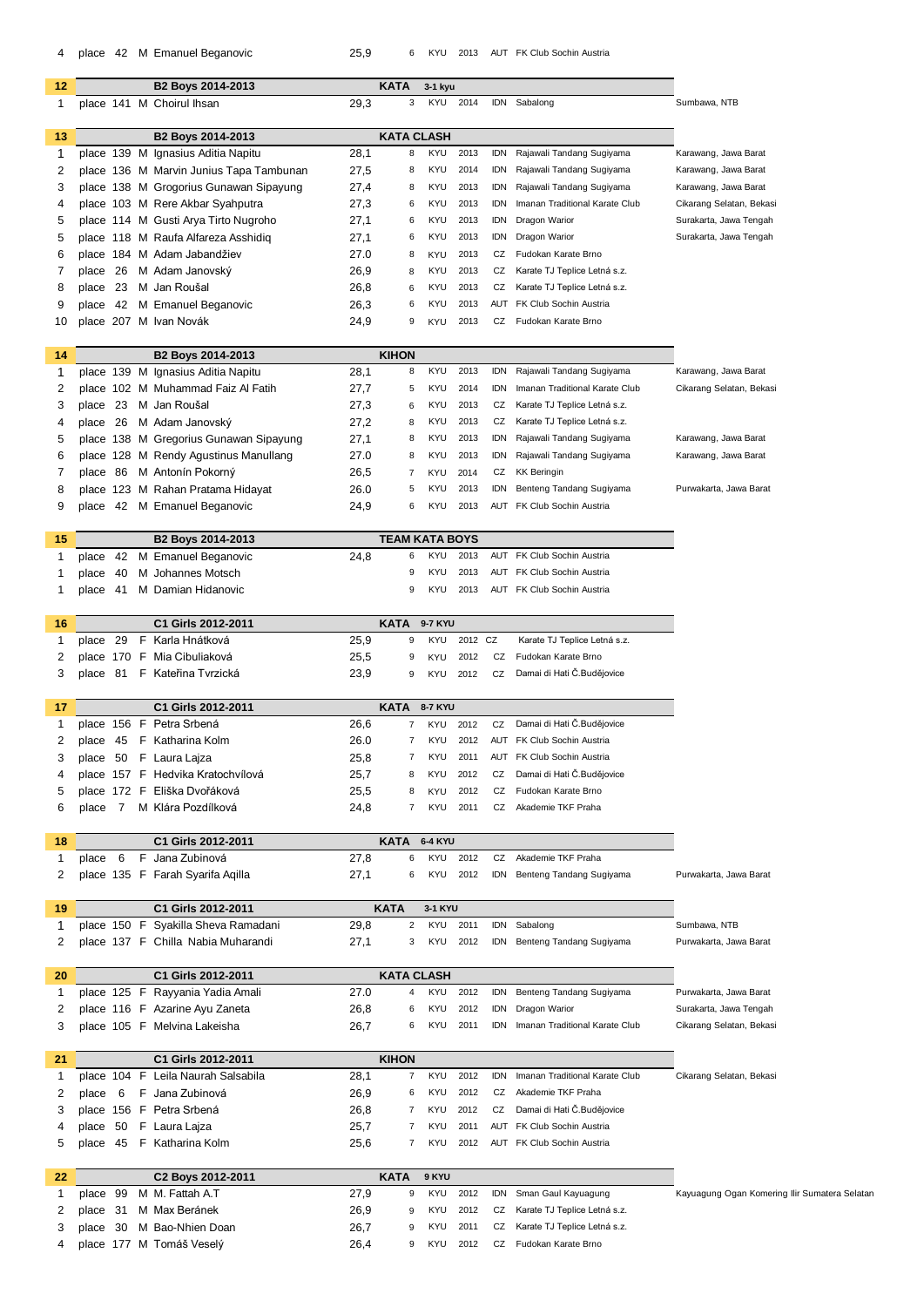| 4            |              |   | place 42 M Emanuel Beganovic                              | 25,9 | 6                                      | KYU            | 2013     |            | AUT FK Club Sochin Austria     |                                               |
|--------------|--------------|---|-----------------------------------------------------------|------|----------------------------------------|----------------|----------|------------|--------------------------------|-----------------------------------------------|
| 12           |              |   | B2 Boys 2014-2013                                         |      | <b>KATA</b>                            | 3-1 kyu        |          |            |                                |                                               |
| $\mathbf{1}$ |              |   | place 141 M Choirul Ihsan                                 | 29,3 | 3                                      | KYU            | 2014     |            | IDN Sabalong                   | Sumbawa, NTB                                  |
|              |              |   |                                                           |      |                                        |                |          |            |                                |                                               |
| 13<br>1      |              |   | B2 Boys 2014-2013<br>place 139 M Ignasius Aditia Napitu   | 28,1 | <b>KATA CLASH</b><br>8                 | <b>KYU</b>     | 2013     | idn        | Rajawali Tandang Sugiyama      | Karawang, Jawa Barat                          |
| 2            |              |   | place 136 M Marvin Junius Tapa Tambunan                   | 27,5 | 8                                      | KYU            | 2014     | <b>IDN</b> | Rajawali Tandang Sugiyama      | Karawang, Jawa Barat                          |
| 3            |              |   | place 138 M Grogorius Gunawan Sipayung                    | 27,4 | 8                                      | KYU            | 2013     | idn        | Rajawali Tandang Sugiyama      | Karawang, Jawa Barat                          |
| 4            |              |   | place 103 M Rere Akbar Syahputra                          | 27,3 | 6                                      | KYU            | 2013     | idn        | Imanan Traditional Karate Club | Cikarang Selatan, Bekasi                      |
| 5            |              |   | place 114 M Gusti Arya Tirto Nugroho                      | 27,1 | 6                                      | KYU            | 2013     | <b>IDN</b> | Dragon Warior                  | Surakarta, Jawa Tengah                        |
| 5            |              |   | place 118 M Raufa Alfareza Asshidig                       | 27,1 | 6                                      | KYU            | 2013     | idn        | Dragon Warior                  | Surakarta, Jawa Tengah                        |
| 6            |              |   | place 184 M Adam Jabandžiev                               | 27.0 | 8                                      | KYU            | 2013     | CZ         | Fudokan Karate Brno            |                                               |
| 7            | place 26     |   | M Adam Janovský                                           | 26,9 | 8                                      | KYU            | 2013     | CZ         | Karate TJ Teplice Letná s.z.   |                                               |
| 8            |              |   | place 23 M Jan Roušal                                     | 26,8 | 6                                      | KYU            | 2013     | CZ         | Karate TJ Teplice Letná s.z.   |                                               |
| 9            |              |   | place 42 M Emanuel Beganovic                              | 26,3 | 6                                      | KYU            | 2013     | AUT        | FK Club Sochin Austria         |                                               |
| 10           |              |   | place 207 M Ivan Novák                                    | 24,9 | 9                                      | <b>KYU</b>     | 2013     | CZ         | Fudokan Karate Brno            |                                               |
| 14           |              |   | B2 Boys 2014-2013                                         |      | <b>KIHON</b>                           |                |          |            |                                |                                               |
| 1            |              |   | place 139 M Ignasius Aditia Napitu                        | 28,1 | 8                                      | KYU            | 2013     |            | IDN Rajawali Tandang Sugiyama  | Karawang, Jawa Barat                          |
| 2            |              |   | place 102 M Muhammad Faiz Al Fatih                        | 27,7 | 5                                      | KYU            | 2014     | idn        | Imanan Traditional Karate Club | Cikarang Selatan, Bekasi                      |
| 3            | place 23     |   | M Jan Roušal                                              | 27,3 | 6                                      | KYU            | 2013     | CZ         | Karate TJ Teplice Letná s.z.   |                                               |
| 4            |              |   | place 26 M Adam Janovský                                  | 27,2 | 8                                      | KYU            | 2013     | CZ         | Karate TJ Teplice Letná s.z.   |                                               |
| 5            |              |   | place 138 M Gregorius Gunawan Sipayung                    | 27,1 | 8                                      | KYU            | 2013     | idn        | Rajawali Tandang Sugiyama      | Karawang, Jawa Barat                          |
| 6            |              |   | place 128 M Rendy Agustinus Manullang                     | 27.0 | 8                                      | KYU            | 2013     | idn        | Rajawali Tandang Sugiyama      | Karawang, Jawa Barat                          |
| 7            |              |   | place 86 M Antonín Pokorný                                | 26,5 | 7                                      | KYU            | 2014     | CZ         | <b>KK Beringin</b>             |                                               |
| 8            |              |   | place 123 M Rahan Pratama Hidayat                         | 26.0 | 5                                      | <b>KYU</b>     | 2013     | idn        | Benteng Tandang Sugiyama       | Purwakarta, Jawa Barat                        |
| 9            |              |   | place 42 M Emanuel Beganovic                              | 24,9 | 6                                      | KYU            | 2013     | AUT        | FK Club Sochin Austria         |                                               |
| 15           |              |   | B2 Boys 2014-2013                                         |      | <b>TEAM KATA BOYS</b>                  |                |          |            |                                |                                               |
| 1            | 42<br>place  |   | M Emanuel Beganovic                                       | 24,8 | 6                                      | <b>KYU</b>     | 2013     |            | AUT FK Club Sochin Austria     |                                               |
| 1            | place<br>-40 |   | M Johannes Motsch                                         |      | 9                                      | <b>KYU</b>     | 2013     |            | AUT FK Club Sochin Austria     |                                               |
| 1            | place 41     |   | M Damian Hidanovic                                        |      | 9                                      | KYU            | 2013     |            | AUT FK Club Sochin Austria     |                                               |
| 16           |              |   | C1 Girls 2012-2011                                        |      | <b>KATA</b>                            | <b>9-7 KYU</b> |          |            |                                |                                               |
| 1            | 29<br>place  |   | F Karla Hnátková                                          | 25,9 | 9                                      | KYU            | 2012 CZ  |            | Karate TJ Teplice Letná s.z.   |                                               |
| 2            |              |   | place 170 F Mia Cibuliaková                               | 25,5 | 9                                      | KYU            | 2012     | CZ         | Fudokan Karate Brno            |                                               |
| 3            | place 81     |   | F Kateřina Tvrzická                                       | 23,9 | 9                                      | KYU            | 2012     | CZ         | Damai di Hati Č.Budějovice     |                                               |
| 17           |              |   | C1 Girls 2012-2011                                        |      | <b>KATA</b>                            | 8-7 KYU        |          |            |                                |                                               |
| $\mathbf{1}$ |              |   | place 156 F Petra Srbená                                  | 26,6 | $\overline{7}$                         |                | KYU 2012 |            | CZ Damai di Hati Č.Budějovice  |                                               |
| 2            | 45<br>place  |   | F Katharina Kolm                                          | 26.0 |                                        | KYU            | 2012     | AUT        | FK Club Sochin Austria         |                                               |
| 3            | place 50     |   | F Laura Lajza                                             | 25,8 | 7                                      | KYU            | 2011     |            | AUT FK Club Sochin Austria     |                                               |
| 4            |              |   | place 157 F Hedvika Kratochvílová                         | 25,7 | 8                                      | KYU            | 2012     | CZ         | Damai di Hati Č.Budějovice     |                                               |
| 5            |              |   | place 172 F Eliška Dvořáková                              | 25,5 | 8                                      | <b>KYU</b>     | 2012     | CZ         | Fudokan Karate Brno            |                                               |
| 6            | place 7      |   | M Klára Pozdílková                                        | 24,8 | 7                                      | KYU            | 2011     | CZ         | Akademie TKF Praha             |                                               |
| 18           |              |   | C1 Girls 2012-2011                                        |      | <b>KATA</b>                            | <b>6-4 KYU</b> |          |            |                                |                                               |
| 1            | 6<br>place   | F | Jana Zubinová                                             | 27,8 | 6                                      | KYU            | 2012     | CZ         | Akademie TKF Praha             |                                               |
| 2            |              |   | place 135 F Farah Syarifa Aqilla                          | 27,1 | 6                                      | KYU            | 2012     |            | IDN Benteng Tandang Sugiyama   | Purwakarta, Jawa Barat                        |
|              |              |   |                                                           |      |                                        |                |          |            |                                |                                               |
| 19<br>1      |              |   | C1 Girls 2012-2011<br>place 150 F Syakilla Sheva Ramadani | 29,8 | <b>KATA</b><br>$\overline{\mathbf{c}}$ | 3-1 KYU<br>KYU | 2011     | <b>IDN</b> | Sabalong                       | Sumbawa, NTB                                  |
| 2            |              |   | place 137 F Chilla Nabia Muharandi                        | 27,1 | 3                                      | KYU            | 2012     | idn        | Benteng Tandang Sugiyama       | Purwakarta, Jawa Barat                        |
|              |              |   |                                                           |      |                                        |                |          |            |                                |                                               |
| 20           |              |   | C1 Girls 2012-2011                                        |      | <b>KATA CLASH</b>                      |                |          |            |                                |                                               |
| 1            |              |   | place 125 F Rayyania Yadia Amali                          | 27.0 | 4                                      | <b>KYU</b>     | 2012     | idn        | Benteng Tandang Sugiyama       | Purwakarta, Jawa Barat                        |
| 2            |              |   | place 116 F Azarine Ayu Zaneta                            | 26,8 | 6                                      | KYU            | 2012     | <b>IDN</b> | Dragon Warior                  | Surakarta, Jawa Tengah                        |
| 3            |              |   | place 105 F Melvina Lakeisha                              | 26,7 | 6                                      | KYU            | 2011     | idn        | Imanan Traditional Karate Club | Cikarang Selatan, Bekasi                      |
| 21           |              |   | C1 Girls 2012-2011                                        |      | <b>KIHON</b>                           |                |          |            |                                |                                               |
| 1            | place 104    |   | F Leila Naurah Salsabila                                  | 28,1 | 7                                      | KYU            | 2012     | <b>IDN</b> | Imanan Traditional Karate Club | Cikarang Selatan, Bekasi                      |
| 2            | 6<br>place   |   | F Jana Zubinová                                           | 26,9 | 6                                      | KYU            | 2012     | CZ         | Akademie TKF Praha             |                                               |
| 3            |              |   | place 156 F Petra Srbená                                  | 26,8 | 7                                      | KYU            | 2012     | CZ         | Damai di Hati Č.Budějovice     |                                               |
| 4            | place 50     |   | F Laura Lajza                                             | 25,7 | 7                                      | <b>KYU</b>     | 2011     |            | AUT FK Club Sochin Austria     |                                               |
| 5            |              |   | place 45 F Katharina Kolm                                 | 25,6 | 7                                      | KYU            | 2012     |            | AUT FK Club Sochin Austria     |                                               |
| 22           |              |   | C2 Boys 2012-2011                                         |      | <b>KATA</b>                            | 9 KYU          |          |            |                                |                                               |
| 1            | 99<br>place  |   | M M. Fattah A.T                                           | 27,9 | 9                                      | KYU            | 2012     | idn        | Sman Gaul Kayuagung            | Kayuagung Ogan Komering Ilir Sumatera Selatar |
| 2            | place 31     |   | M Max Beránek                                             | 26,9 | 9                                      | KYU            | 2012     | CZ         | Karate TJ Teplice Letná s.z.   |                                               |
| 3            |              |   | place 30 M Bao-Nhien Doan                                 | 26,7 | 9                                      | KYU            | 2011     | CZ         | Karate TJ Teplice Letná s.z.   |                                               |

place 177 M Tomáš Veselý 26,4 9 KYU 2012 CZ Fudokan Karate Brno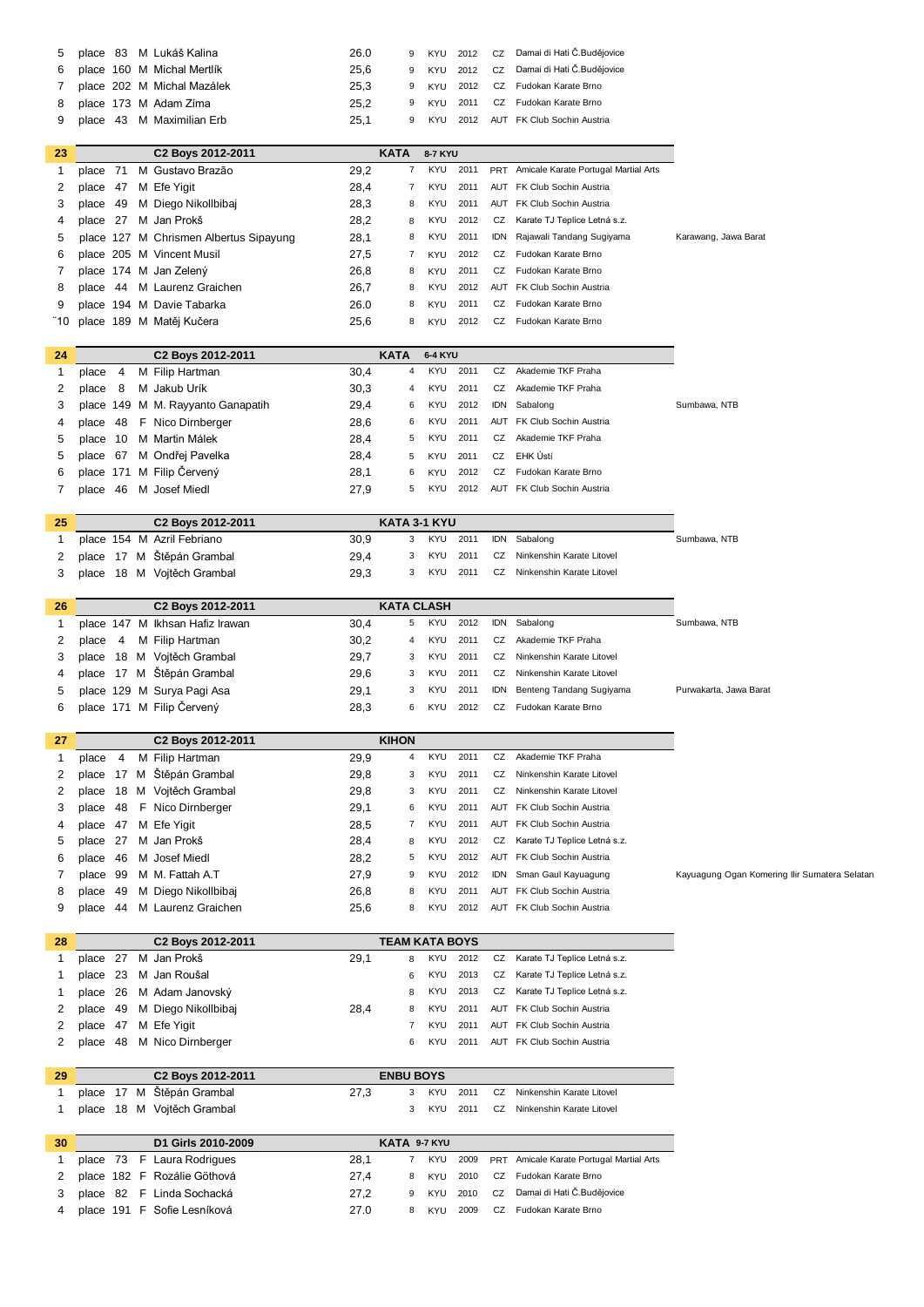|  | 5 place 83 M Lukáš Kalina    | 26.0 |  |  | 9 KYU 2012 CZ Damai di Hati Č.Budějovice |
|--|------------------------------|------|--|--|------------------------------------------|
|  | 6 place 160 M Michal Mertlík | 25.6 |  |  | 9 KYU 2012 CZ Damai di Hati Č.Budějovice |
|  | 7 place 202 M Michal Mazálek | 25.3 |  |  | 9 KYU 2012 CZ Fudokan Karate Brno        |
|  | 8 place 173 M Adam Zíma      | 25.2 |  |  | 9 KYU 2011 CZ Fudokan Karate Brno        |
|  | 9 place 43 M Maximilian Erb  | 25.1 |  |  | 9 KYU 2012 AUT FK Club Sochin Austria    |
|  |                              |      |  |  |                                          |

| 23   |          | C <sub>2</sub> Boys 2012-2011          |      | KATA | 8-7 KYU |      |    |                                          |                     |
|------|----------|----------------------------------------|------|------|---------|------|----|------------------------------------------|---------------------|
|      | place 71 | M Gustavo Brazão                       | 29.2 | 7    | KYU     | 2011 |    | PRT Amicale Karate Portugal Martial Arts |                     |
|      | place 47 | M Efe Yigit                            | 28.4 |      | KYU     | 2011 |    | AUT FK Club Sochin Austria               |                     |
| 3    | place 49 | M Diego Nikollbibai                    | 28,3 | 8    | KYU     | 2011 |    | AUT FK Club Sochin Austria               |                     |
| 4    | place 27 | M Jan Prokš                            | 28,2 | 8    | KYU     | 2012 | CZ | Karate TJ Teplice Letná s.z.             |                     |
| 5    |          | place 127 M Chrismen Albertus Sipayung | 28,1 | 8    | KYU     | 2011 |    | IDN Rajawali Tandang Sugiyama            | Karawang, Jawa Bara |
| 6    |          | place 205 M Vincent Musil              | 27.5 |      | KYU     | 2012 | CZ | Fudokan Karate Brno                      |                     |
|      |          | place 174 M Jan Zelený                 | 26,8 | 8    | KYU     | 2011 | CZ | Fudokan Karate Brno                      |                     |
| 8    | place 44 | M Laurenz Graichen                     | 26,7 | 8    | KYU     | 2012 |    | AUT FK Club Sochin Austria               |                     |
| 9    |          | place 194 M Davie Tabarka              | 26.0 | 8    | KYU     | 2011 | CZ | Fudokan Karate Brno                      |                     |
| "10∶ |          | place 189 M Matěi Kučera               | 25.6 | 8    | KYU     | 2012 | CZ | Fudokan Karate Brno                      |                     |

| 24 |              | C <sub>2</sub> Boys 2012-2011     | <b>KATA</b> |    | 6-4 KYU |      |     |                               |              |
|----|--------------|-----------------------------------|-------------|----|---------|------|-----|-------------------------------|--------------|
|    | place 4      | M Filip Hartman                   | 30,4        | 4  | KYU     | 2011 | CZ  | Akademie TKF Praha            |              |
| 2  | 8<br>place   | M Jakub Urík                      | 30,3        | 4  | KYU     | 2011 | CZ  | Akademie TKF Praha            |              |
| 3  |              | place 149 M M. Rayyanto Ganapatih | 29,4        | 6  | KYU     | 2012 |     | IDN Sabalong                  | Sumbawa, NTB |
| 4  |              | place 48 F Nico Dirnberger        | 28,6        | 6. | KYU     | 2011 |     | AUT FK Club Sochin Austria    |              |
| 5  | place 10     | M Martin Málek                    | 28,4        | 5  | KYU     | 2011 | CZ  | Akademie TKF Praha            |              |
| 5  |              | place 67 M Ondřej Pavelka         | 28,4        | 5  | KYU     | 2011 | CZ  | EHK Ústí                      |              |
| 6  |              | place 171 M Filip Červený         | 28,1        | 6  | KYU     | 2012 | CZ  | Fudokan Karate Brno           |              |
|    | -46<br>place | M Josef Miedl                     | 27.9        | 5. | KYU     | 2012 | AUT | <b>FK Club Sochin Austria</b> |              |

| 25 | C <sub>2</sub> Boys 2012-2011 |      | KATA 3-1 KYU |                                         |              |
|----|-------------------------------|------|--------------|-----------------------------------------|--------------|
|    | place 154 M Azril Febriano    | 30.9 | 3 KYU 2011   | IDN Sabalong                            | Sumbawa, NTB |
|    | place 17 M Štěpán Grambal     | 29.4 |              | 3 KYU 2011 CZ Ninkenshin Karate Litovel |              |
|    | place 18 M Vojtěch Grambal    | 29.3 |              | 3 KYU 2011 CZ Ninkenshin Karate Litovel |              |

| 26 | C <sub>2</sub> Boys 2012-2011   |      | <b>KATA CLASH</b> |      |                                 |                       |
|----|---------------------------------|------|-------------------|------|---------------------------------|-----------------------|
|    | place 147 M Ikhsan Hafiz Irawan | 30,4 | <b>KYU</b><br>5   | 2012 | IDN<br>Sabalong                 | Sumbawa, NTB          |
|    | M Filip Hartman<br>4<br>place   | 30,2 | KYU<br>4          | 2011 | CZ<br>Akademie TKF Praha        |                       |
|    | 18 M Vojtěch Grambal<br>place   | 29,7 | <b>KYU</b><br>3   | 2011 | Ninkenshin Karate Litovel<br>CZ |                       |
| 4  | place 17 M Štěpán Grambal       | 29,6 | KYU<br>3          | 2011 | Ninkenshin Karate Litovel<br>CZ |                       |
| 5  | place 129 M Surya Pagi Asa      | 29,1 | KYU<br>3          | 2011 | IDN<br>Benteng Tandang Sugiyama | Purwakarta, Jawa Bara |
| 6  | place 171 M Filip Červený       | 28.3 | 6.<br>KYU         | 2012 | Fudokan Karate Brno<br>CZ       |                       |
|    |                                 |      |                   |      |                                 |                       |

| 27 |          |     | C <sub>2</sub> Boys 2012-2011 |      | <b>KIHON</b> |            |      |     |                               |
|----|----------|-----|-------------------------------|------|--------------|------------|------|-----|-------------------------------|
|    | place    | 4   | M Filip Hartman               | 29,9 | 4            | KYU        | 2011 | CZ  | Akademie TKF Praha            |
| 2  | place    |     | 17 M Štěpán Grambal           | 29,8 | 3            | KYU        | 2011 | CZ  | Ninkenshin Karate Litovel     |
| 2  | place    |     | 18 M Vojtěch Grambal          | 29.8 | 3            | KYU        | 2011 | CZ  | Ninkenshin Karate Litovel     |
| 3  |          |     | place 48 F Nico Dirnberger    | 29,1 | 6            | KYU        | 2011 | AUT | <b>FK Club Sochin Austria</b> |
| 4  | place 47 |     | M Efe Yigit                   | 28.5 |              | KYU        | 2011 | AUT | <b>FK Club Sochin Austria</b> |
| 5  | place 27 |     | M Jan Prokš                   | 28,4 | 8            | KYU.       | 2012 | CZ  | Karate TJ Teplice Letná s.z.  |
| 6  | place    | -46 | M Josef Miedl                 | 28,2 | 5            | KYU        | 2012 |     | AUT FK Club Sochin Austria    |
|    | place    | 99  | M M. Fattah A.T               | 27,9 | 9            | <b>KYU</b> | 2012 | IDN | Sman Gaul Kayuagung           |
| 8  | place    | 49  | M Diego Nikollbibaj           | 26,8 | 8            | KYU        | 2011 | AUT | <b>FK Club Sochin Austria</b> |
| 9  | place    | 44  | M Laurenz Graichen            | 25,6 | 8            | KYU        | 2012 |     | AUT FK Club Sochin Austria    |

| 28 |  | C <sub>2</sub> Boys 2012-2011 |      | <b>TEAM KATA BOYS</b> |            |      |                                 |
|----|--|-------------------------------|------|-----------------------|------------|------|---------------------------------|
|    |  | place 27 M Jan Prokš          | 29,1 | 8                     | KYU        | 2012 | CZ Karate TJ Teplice Letná s.z. |
|    |  | place 23 M Jan Roušal         |      | 6                     | <b>KYU</b> | 2013 | CZ Karate TJ Teplice Letná s.z. |
|    |  | place 26 M Adam Janovský      |      | 8                     | <b>KYU</b> | 2013 | CZ Karate TJ Teplice Letná s.z. |
|    |  | place 49 M Diego Nikollbibaj  | 28,4 | 8                     | <b>KYU</b> | 2011 | AUT FK Club Sochin Austria      |
|    |  | place 47 M Efe Yigit          |      |                       | <b>KYU</b> | 2011 | AUT FK Club Sochin Austria      |
|    |  | place 48 M Nico Dirnberger    |      | 6.                    | KYU        | 2011 | AUT FK Club Sochin Austria      |

| 29 | C <sub>2</sub> Boys 2012-2011 |      | <b>ENBU BOYS</b> |  |                                         |
|----|-------------------------------|------|------------------|--|-----------------------------------------|
|    | place 17 M Štěpán Grambal     | 27.3 |                  |  | 3 KYU 2011 CZ Ninkenshin Karate Litovel |
|    | place 18 M Vojtěch Grambal    |      |                  |  | 3 KYU 2011 CZ Ninkenshin Karate Litovel |

| 30 | D1 Girls 2010-2009                    | KATA 9-7 KYU |     |  |                                                     |
|----|---------------------------------------|--------------|-----|--|-----------------------------------------------------|
|    | place 73 F Laura Rodrigues<br>28.1    |              |     |  | 7 KYU 2009 PRT Amicale Karate Portugal Martial Arts |
|    | 2 place 182 F Rozálie Göthová<br>27.4 | 8            |     |  | KYU 2010 CZ Fudokan Karate Brno                     |
|    | 3 place 82 F Linda Sochacká<br>27.2   |              |     |  | 9 KYU 2010 CZ Damai di Hati Č.Budějovice            |
|    | place 191 F Sofie Lesníková<br>27.0   | 8            | KYU |  | 2009 CZ Fudokan Karate Brno                         |

Kayuagung Ogan Komering Ilir Sumatera Selatan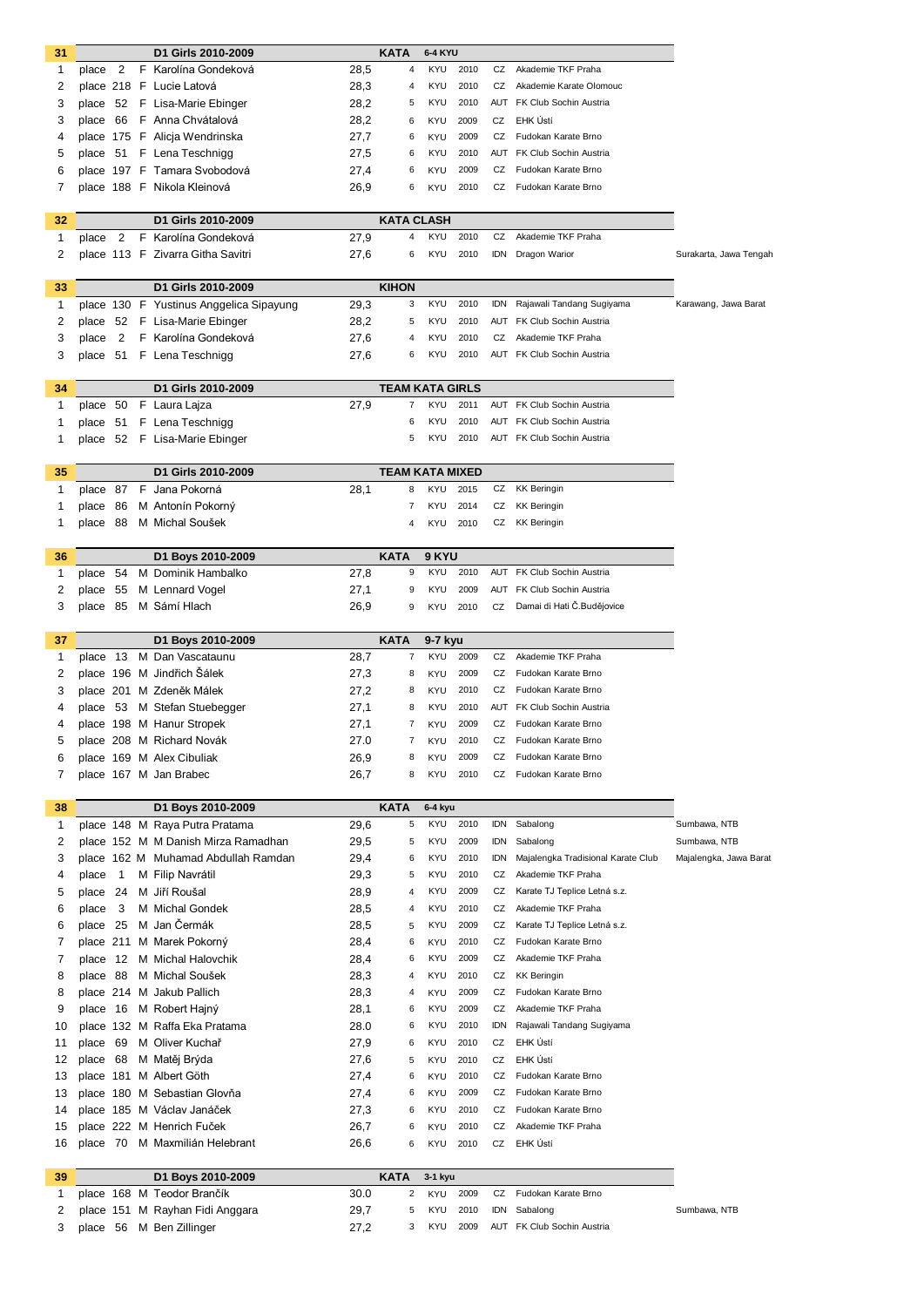| 31      |                         | D1 Girls 2010-2009                                                    |              | <b>KATA</b>               | <b>6-4 KYU</b>           |              |            |                                            |                              |
|---------|-------------------------|-----------------------------------------------------------------------|--------------|---------------------------|--------------------------|--------------|------------|--------------------------------------------|------------------------------|
| 1       | 2<br>place              | F Karolína Gondeková                                                  | 28,5         | $\overline{4}$            | <b>KYU</b>               | 2010         | CZ         | Akademie TKF Praha                         |                              |
| 2       |                         | place 218 F Lucie Latová                                              | 28,3         | 4                         | <b>KYU</b>               | 2010         | CZ         | Akademie Karate Olomouc                    |                              |
| 3       |                         | place 52 F Lisa-Marie Ebinger                                         | 28,2         | 5                         | <b>KYU</b>               | 2010         | AUT        | FK Club Sochin Austria                     |                              |
| 3       |                         | place 66 F Anna Chvátalová                                            | 28,2         | 6                         | <b>KYU</b>               | 2009         | CZ         | EHK Ústí                                   |                              |
| 4       |                         | place 175 F Alicja Wendrinska                                         | 27,7         | 6                         | <b>KYU</b>               | 2009         | CZ         | Fudokan Karate Brno                        |                              |
| 5       |                         | place 51 F Lena Teschnigg                                             | 27,5         | 6                         | KYU                      | 2010         |            | <b>AUT</b> FK Club Sochin Austria          |                              |
| 6       |                         | place 197 F Tamara Svobodová                                          | 27,4         | 6                         | KYU                      | 2009         | CZ         | Fudokan Karate Brno                        |                              |
| 7       |                         | place 188 F Nikola Kleinová                                           | 26,9         | 6                         | <b>KYU</b>               | 2010         | CZ         | Fudokan Karate Brno                        |                              |
| 32      |                         | D1 Girls 2010-2009                                                    |              | <b>KATA CLASH</b>         |                          |              |            |                                            |                              |
| 1       | 2<br>place              | F Karolína Gondeková                                                  | 27,9         | 4                         | <b>KYU</b>               | 2010         | CZ         | Akademie TKF Praha                         |                              |
| 2       |                         | place 113 F Zivarra Githa Savitri                                     | 27,6         | 6                         | <b>KYU</b>               | 2010         | IDN        | Dragon Warior                              | Surakarta, Jawa Tengah       |
|         |                         |                                                                       |              |                           |                          |              |            |                                            |                              |
| 33      |                         | D1 Girls 2010-2009                                                    |              | <b>KIHON</b>              |                          |              |            |                                            |                              |
| 1       |                         | place 130 F Yustinus Anggelica Sipayung                               | 29,3         | 3                         | <b>KYU</b>               | 2010         | idn        | Rajawali Tandang Sugiyama                  | Karawang, Jawa Barat         |
| 2       |                         | place 52 F Lisa-Marie Ebinger                                         | 28,2         | 5                         | <b>KYU</b>               | 2010         |            | AUT FK Club Sochin Austria                 |                              |
| 3       | 2<br>place              | F Karolína Gondeková                                                  | 27,6         | 4                         | <b>KYU</b>               | 2010         | CZ         | Akademie TKF Praha                         |                              |
| 3       |                         | place 51 F Lena Teschnigg                                             | 27,6         | 6                         | <b>KYU</b>               | 2010         |            | AUT FK Club Sochin Austria                 |                              |
| 34      |                         | D1 Girls 2010-2009                                                    |              | <b>TEAM KATA GIRLS</b>    |                          |              |            |                                            |                              |
| 1       |                         | place 50 F Laura Lajza                                                | 27,9         | 7                         | <b>KYU</b>               | 2011         |            | AUT FK Club Sochin Austria                 |                              |
| 1       | place                   | 51 F Lena Teschnigg                                                   |              | 6                         | <b>KYU</b>               | 2010         |            | AUT FK Club Sochin Austria                 |                              |
| 1       |                         | place 52 F Lisa-Marie Ebinger                                         |              | 5                         | <b>KYU</b>               | 2010         |            | AUT FK Club Sochin Austria                 |                              |
|         |                         |                                                                       |              |                           |                          |              |            |                                            |                              |
| 35      |                         | D1 Girls 2010-2009                                                    |              | <b>TEAM KATA MIXED</b>    |                          |              |            |                                            |                              |
| 1       |                         | place 87 F Jana Pokorná                                               | 28,1         | 8                         | KYU                      | 2015         | CZ         | <b>KK Beringin</b>                         |                              |
| 1       | 86<br>place             | M Antonín Pokorný                                                     |              | 7                         | KYU                      | 2014         | CZ         | <b>KK Beringin</b>                         |                              |
| 1       |                         | place 88 M Michal Soušek                                              |              | $\overline{4}$            | KYU                      | 2010         | CZ         | <b>KK Beringin</b>                         |                              |
| 36      |                         | D1 Boys 2010-2009                                                     |              | <b>KATA</b>               | 9 KYU                    |              |            |                                            |                              |
| 1       | 54<br>place             | M Dominik Hambalko                                                    | 27,8         | 9                         | <b>KYU</b>               | 2010         |            | AUT FK Club Sochin Austria                 |                              |
| 2       | place<br>55             | M Lennard Vogel                                                       | 27,1         | 9                         | <b>KYU</b>               | 2009         | AUT        | FK Club Sochin Austria                     |                              |
| 3       | 85<br>place             | M Sámí Hlach                                                          | 26,9         | 9                         | KYU                      | 2010         | CZ         | Damai di Hati Č.Budějovice                 |                              |
|         |                         |                                                                       |              |                           |                          |              |            |                                            |                              |
| 37      |                         | D1 Boys 2010-2009                                                     |              | <b>KATA</b>               | 9-7 kyu                  |              |            | Akademie TKF Praha                         |                              |
| 1       |                         | place 13 M Dan Vascataunu<br>place 196 M Jindřich Šálek               | 28,7         | $\overline{7}$            | <b>KYU</b>               | 2009<br>2009 | CZ         |                                            |                              |
| 2<br>3  |                         | place 201 M Zdeněk Málek                                              | 27,3<br>27,2 | 8<br>8                    | KYU<br>KYU               | 2010         | CZ<br>CZ   | Fudokan Karate Brno<br>Fudokan Karate Brno |                              |
| 4       |                         | place 53 M Stefan Stuebegger                                          | 27,1         | 8                         | KYU                      | 2010         | AUT        | FK Club Sochin Austria                     |                              |
| 4       |                         | place 198 M Hanur Stropek                                             | 27,1         | $\overline{7}$            | KYU                      | 2009         | CZ         | Fudokan Karate Brno                        |                              |
| 5       |                         | place 208 M Richard Novák                                             | 27.0         | 7                         | KYU                      | 2010         | CZ         | Fudokan Karate Brno                        |                              |
| 6       |                         | place 169 M Alex Cibuliak                                             | 26,9         | 8                         | KYU                      | 2009         | CZ         | Fudokan Karate Brno                        |                              |
| 7       |                         | place 167 M Jan Brabec                                                | 26,7         | 8                         | KYU                      | 2010         | CZ         | Fudokan Karate Brno                        |                              |
|         |                         |                                                                       |              |                           |                          |              |            |                                            |                              |
| 38      |                         | D1 Boys 2010-2009                                                     |              | <b>KATA</b>               | 6-4 kyu                  |              |            |                                            |                              |
| 1<br>2  |                         | place 148 M Raya Putra Pratama<br>place 152 M M Danish Mirza Ramadhan | 29,6<br>29,5 | 5<br>5                    | <b>KYU</b><br><b>KYU</b> | 2010<br>2009 | IDN<br>idn | Sabalong<br>Sabalong                       | Sumbawa, NTB<br>Sumbawa, NTB |
| 3       |                         | place 162 M Muhamad Abdullah Ramdan                                   | 29,4         | 6                         | <b>KYU</b>               | 2010         | <b>IDN</b> | Majalengka Tradisional Karate Club         | Majalengka, Jawa Barat       |
| 4       | $\overline{1}$<br>place | M Filip Navrátil                                                      | 29,3         | 5                         | <b>KYU</b>               | 2010         | CZ         | Akademie TKF Praha                         |                              |
| 5       | place<br>24             | M Jiří Roušal                                                         | 28,9         | $\overline{4}$            | <b>KYU</b>               | 2009         | CZ         | Karate TJ Teplice Letná s.z.               |                              |
| 6       | 3<br>place              | M Michal Gondek                                                       | 28,5         | $\overline{4}$            | <b>KYU</b>               | 2010         | CZ         | Akademie TKF Praha                         |                              |
| 6       | -25<br>place            | M Jan Čermák                                                          | 28,5         | 5                         | <b>KYU</b>               | 2009         | CZ         | Karate TJ Teplice Letná s.z.               |                              |
| 7       | place 211               | M Marek Pokorný                                                       | 28,4         | 6                         | KYU                      | 2010         | CZ         | Fudokan Karate Brno                        |                              |
| 7       | place 12                | M Michal Halovchik                                                    | 28,4         | 6                         | <b>KYU</b>               | 2009         | CZ         | Akademie TKF Praha                         |                              |
| 8       | place 88                | M Michal Soušek                                                       | 28,3         | 4                         | KYU                      | 2010         | CZ         | <b>KK Beringin</b>                         |                              |
| 8       | place 214               | M Jakub Pallich                                                       | 28,3         | 4                         | KYU                      | 2009         | CZ         | Fudokan Karate Brno                        |                              |
| 9       | place 16                | M Robert Hajný                                                        | 28,1         | 6                         | <b>KYU</b>               | 2009         | CZ         | Akademie TKF Praha                         |                              |
|         |                         | place 132 M Raffa Eka Pratama                                         | 28.0         | 6                         | <b>KYU</b>               | 2010         | idn        | Rajawali Tandang Sugiyama                  |                              |
| 10      |                         | M Oliver Kuchař                                                       |              | 6                         | KYU                      | 2010         | CZ         | EHK Ústí                                   |                              |
| 11      | - 69<br>place           |                                                                       | 27,9         |                           |                          |              | CZ         | EHK Ústí                                   |                              |
| 12      | place 68                | M Matěj Brýda                                                         | 27,6         | 5                         | <b>KYU</b>               | 2010         |            |                                            |                              |
| 13      |                         | place 181 M Albert Göth                                               | 27,4         | 6                         | <b>KYU</b>               | 2010         | CZ         | Fudokan Karate Brno                        |                              |
| 13      |                         | place 180 M Sebastian Glovňa                                          | 27,4         | 6                         | KYU                      | 2009         | CZ         | Fudokan Karate Brno                        |                              |
| 14      |                         | place 185 M Václav Janáček                                            | 27,3         | 6                         | KYU                      | 2010         | CZ         | Fudokan Karate Brno                        |                              |
| 15      |                         | place 222 M Henrich Fuček                                             | 26,7         | 6                         | KYU                      | 2010         | CZ         | Akademie TKF Praha                         |                              |
| 16      | place 70                | M Maxmilián Helebrant                                                 | 26,6         | 6                         | KYU                      | 2010         | CZ         | EHK Ústí                                   |                              |
|         |                         |                                                                       |              |                           |                          |              |            |                                            |                              |
| 39<br>1 |                         | D1 Boys 2010-2009<br>place 168 M Teodor Brančík                       | 30.0         | <b>KATA</b><br>$\sqrt{2}$ | 3-1 kyu<br>KYU           | 2009         | CZ         | Fudokan Karate Brno                        |                              |

place 56 M Ben Zillinger 27,2 3 KYU 2009 AUT FK Club Sochin Austria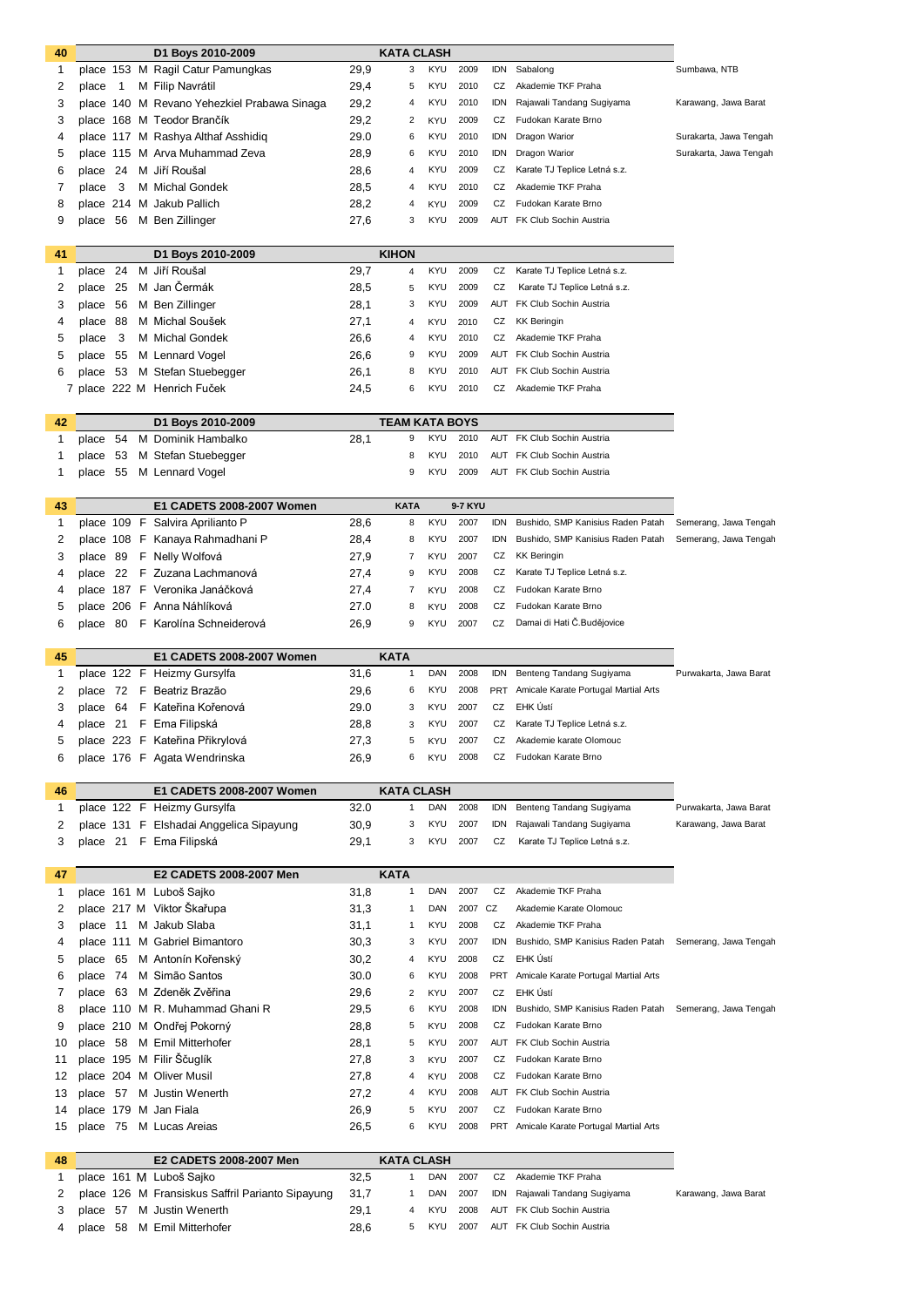| 40 |           |              |   | D1 Boys 2010-2009                                |      | KATA CLASH            |            |         |            |                                          |                        |
|----|-----------|--------------|---|--------------------------------------------------|------|-----------------------|------------|---------|------------|------------------------------------------|------------------------|
| 1  |           |              |   | place 153 M Ragil Catur Pamungkas                | 29,9 | 3                     | KYU        | 2009    | IDN        | Sabalong                                 | Sumbawa, NTB           |
| 2  | place     | $\mathbf{1}$ |   | M Filip Navrátil                                 | 29,4 | 5                     | <b>KYU</b> | 2010    | CZ         | Akademie TKF Praha                       |                        |
| 3  |           |              |   | place 140 M Revano Yehezkiel Prabawa Sinaga      | 29,2 | 4                     | KYU        | 2010    | <b>IDN</b> | Rajawali Tandang Sugiyama                | Karawang, Jawa Barat   |
| 3  |           |              |   | place 168 M Teodor Brančík                       | 29,2 | 2                     | <b>KYU</b> | 2009    | CZ         | Fudokan Karate Brno                      |                        |
| 4  |           |              |   | place 117 M Rashya Althaf Asshidig               | 29.0 | 6                     | KYU        | 2010    | IDN        | Dragon Warior                            | Surakarta, Jawa Tengah |
| 5  |           |              |   | place 115 M Arva Muhammad Zeva                   | 28,9 | 6                     | KYU        | 2010    | idn        | Dragon Warior                            | Surakarta, Jawa Tengah |
| 6  | place     | 24           |   | M Jiří Roušal                                    | 28,6 | 4                     | <b>KYU</b> | 2009    | CZ         | Karate TJ Teplice Letná s.z.             |                        |
| 7  | place     | 3            |   | M Michal Gondek                                  | 28,5 | 4                     | KYU        | 2010    | CZ         | Akademie TKF Praha                       |                        |
|    |           |              |   |                                                  |      |                       |            |         |            | Fudokan Karate Brno                      |                        |
| 8  |           |              |   | place 214 M Jakub Pallich                        | 28,2 | 4                     | <b>KYU</b> | 2009    | CZ         |                                          |                        |
| 9  | place     | 56           |   | M Ben Zillinger                                  | 27,6 | 3                     | KYU        | 2009    |            | AUT FK Club Sochin Austria               |                        |
|    |           |              |   |                                                  |      |                       |            |         |            |                                          |                        |
| 41 |           |              |   | D1 Boys 2010-2009                                |      | <b>KIHON</b>          |            |         |            |                                          |                        |
| 1  | place     | 24           | м | Jiří Roušal                                      | 29,7 | 4                     | <b>KYU</b> | 2009    | CZ         | Karate TJ Teplice Letná s.z.             |                        |
| 2  | place     | 25           |   | M Jan Čermák                                     | 28,5 | 5                     | KYU        | 2009    | CZ         | Karate TJ Teplice Letná s.z.             |                        |
| 3  | place     | 56           |   | M Ben Zillinger                                  | 28,1 | 3                     | KYU        | 2009    |            | AUT FK Club Sochin Austria               |                        |
| 4  | place     | 88           |   | M Michal Soušek                                  | 27,1 | 4                     | <b>KYU</b> | 2010    | CZ         | <b>KK Beringin</b>                       |                        |
| 5  | place     | 3            |   | M Michal Gondek                                  | 26,6 | 4                     | <b>KYU</b> | 2010    | CZ         | Akademie TKF Praha                       |                        |
| 5  | place     | 55           |   | M Lennard Vogel                                  | 26,6 | 9                     | KYU        | 2009    | AUT        | FK Club Sochin Austria                   |                        |
| 6  | place     | 53           |   | M Stefan Stuebegger                              | 26,1 | 8                     | KYU        | 2010    | AUT        | FK Club Sochin Austria                   |                        |
| 7  |           |              |   | place 222 M Henrich Fuček                        | 24,5 | 6                     | KYU        | 2010    | CZ         | Akademie TKF Praha                       |                        |
|    |           |              |   |                                                  |      |                       |            |         |            |                                          |                        |
| 42 |           |              |   | D1 Boys 2010-2009                                |      | <b>TEAM KATA BOYS</b> |            |         |            |                                          |                        |
| 1  | place     | 54           |   | M Dominik Hambalko                               | 28,1 | 9                     | <b>KYU</b> | 2010    |            | AUT FK Club Sochin Austria               |                        |
| 1  | place     | 53           |   | M Stefan Stuebegger                              |      | 8                     | KYU        | 2010    |            | AUT FK Club Sochin Austria               |                        |
|    |           |              |   |                                                  |      | 9                     | KYU        | 2009    |            | <b>AUT</b> FK Club Sochin Austria        |                        |
| 1  |           |              |   | place 55 M Lennard Vogel                         |      |                       |            |         |            |                                          |                        |
|    |           |              |   |                                                  |      | <b>KATA</b>           |            | 9-7 KYU |            |                                          |                        |
| 43 |           |              |   | E1 CADETS 2008-2007 Women                        |      |                       |            |         |            |                                          |                        |
| 1  |           |              |   | place 109 F Salvira Aprilianto P                 | 28,6 | 8                     | <b>KYU</b> | 2007    | IDN        | Bushido, SMP Kanisius Raden Patah        | Semerang, Jawa Tengah  |
| 2  |           |              |   | place 108 F Kanaya Rahmadhani P                  | 28,4 | 8                     | KYU        | 2007    | IDN        | Bushido, SMP Kanisius Raden Patah        | Semerang, Jawa Tengah  |
| 3  | place     | - 89         |   | F Nelly Wolfová                                  | 27,9 | $\overline{7}$        | <b>KYU</b> | 2007    | CZ         | <b>KK Beringin</b>                       |                        |
| 4  | place     | 22           |   | F Zuzana Lachmanová                              | 27,4 | 9                     | KYU        | 2008    | CZ         | Karate TJ Teplice Letná s.z.             |                        |
| 4  |           |              |   | place 187 F Veronika Janáčková                   | 27,4 | 7                     | <b>KYU</b> | 2008    | CZ         | Fudokan Karate Brno                      |                        |
| 5  |           |              |   | place 206 F Anna Náhlíková                       | 27.0 | 8                     | KYU        | 2008    | CZ         | Fudokan Karate Brno                      |                        |
| 6  |           |              |   | place 80 F Karolína Schneiderová                 | 26,9 | 9                     | <b>KYU</b> | 2007    | CZ         | Damai di Hati Č.Budějovice               |                        |
|    |           |              |   |                                                  |      |                       |            |         |            |                                          |                        |
|    |           |              |   |                                                  |      |                       |            |         |            |                                          |                        |
| 45 |           |              |   | E1 CADETS 2008-2007 Women                        |      | <b>KATA</b>           |            |         |            |                                          |                        |
| 1  |           |              |   | place 122 F Heizmy Gursylfa                      | 31,6 | 1                     | DAN        | 2008    | idn        | Benteng Tandang Sugiyama                 | Purwakarta, Jawa Barat |
| 2  | place     | 72           | F | Beatriz Brazão                                   | 29,6 | 6                     | KYU        | 2008    | PRT        | Amicale Karate Portugal Martial Arts     |                        |
|    |           |              |   |                                                  |      |                       | <b>KYU</b> | 2007    | CZ         | EHK Ústí                                 |                        |
| 3  | place     | 64           |   | F Kateřina Kořenová                              | 29.0 | 3                     |            |         |            |                                          |                        |
| 4  | place 21  |              |   | F Ema Filipská                                   | 28,8 | 3                     | KYU        | 2007    | CZ         | Karate TJ Teplice Letná s.z.             |                        |
| 5  |           |              |   | place 223 F Kateřina Přikrylová                  | 27,3 | 5                     | <b>KYU</b> | 2007    | CZ         | Akademie karate Olomouc                  |                        |
| 6  |           |              |   | place 176 F Agata Wendrinska                     | 26,9 | 6                     | <b>KYU</b> | 2008    |            | CZ Fudokan Karate Brno                   |                        |
|    |           |              |   |                                                  |      |                       |            |         |            |                                          |                        |
| 46 |           |              |   | E1 CADETS 2008-2007 Women                        |      | <b>KATA CLASH</b>     |            |         |            |                                          |                        |
| 1  |           |              |   | place 122 F Heizmy Gursylfa                      | 32.0 | 1                     | DAN        | 2008    | idn        | Benteng Tandang Sugiyama                 | Purwakarta, Jawa Barat |
| 2  |           |              |   | place 131 F Elshadai Anggelica Sipayung          | 30,9 | 3                     | KYU        | 2007    | <b>IDN</b> | Rajawali Tandang Sugiyama                | Karawang, Jawa Barat   |
| 3  |           |              |   | place 21 F Ema Filipská                          | 29,1 | 3                     | <b>KYU</b> | 2007    | CZ         | Karate TJ Teplice Letná s.z.             |                        |
|    |           |              |   |                                                  |      |                       |            |         |            |                                          |                        |
| 47 |           |              |   | E2 CADETS 2008-2007 Men                          |      | <b>KATA</b>           |            |         |            |                                          |                        |
| 1  |           |              |   | place 161 M Luboš Sajko                          | 31,8 | 1                     | DAN        | 2007    | CZ         | Akademie TKF Praha                       |                        |
| 2  |           |              |   | place 217 M Viktor Škařupa                       | 31,3 | 1                     | DAN        | 2007    | CZ         | Akademie Karate Olomouc                  |                        |
| 3  | place 11  |              |   | M Jakub Slaba                                    | 31,1 | 1                     | <b>KYU</b> | 2008    | CZ         | Akademie TKF Praha                       |                        |
| 4  | place 111 |              |   | M Gabriel Bimantoro                              | 30,3 | 3                     | KYU        | 2007    | <b>IDN</b> | Bushido, SMP Kanisius Raden Patah        | Semerang, Jawa Tengah  |
| 5  | place     | 65           |   | M Antonín Kořenský                               | 30,2 | 4                     | <b>KYU</b> | 2008    | CZ         | EHK Ústí                                 |                        |
| 6  | place     | -74          |   | M Simão Santos                                   | 30.0 | 6                     | <b>KYU</b> | 2008    | PRT        | Amicale Karate Portugal Martial Arts     |                        |
| 7  | place 63  |              |   | M Zdeněk Zvěřina                                 | 29,6 | $\overline{2}$        | <b>KYU</b> | 2007    | CZ         | EHK Ústí                                 |                        |
|    |           |              |   |                                                  |      | 6                     | KYU        | 2008    | <b>IDN</b> |                                          |                        |
| 8  |           |              |   | place 110 M R. Muhammad Ghani R                  | 29,5 |                       |            |         |            | Bushido, SMP Kanisius Raden Patah        | Semerang, Jawa Tengah  |
| 9  |           |              |   | place 210 M Ondřej Pokorný                       | 28,8 | 5                     | KYU        | 2008    | CZ         | Fudokan Karate Brno                      |                        |
| 10 | place     | 58           |   | M Emil Mitterhofer                               | 28,1 | 5                     | <b>KYU</b> | 2007    | AUT        | FK Club Sochin Austria                   |                        |
| 11 |           |              |   | place 195 M Filir Ščuglík                        | 27,8 | 3                     | KYU        | 2007    | CZ         | Fudokan Karate Brno                      |                        |
| 12 |           |              |   | place 204 M Oliver Musil                         | 27,8 | 4                     | <b>KYU</b> | 2008    | CZ         | Fudokan Karate Brno                      |                        |
| 13 | place 57  |              |   | M Justin Wenerth                                 | 27,2 | 4                     | KYU        | 2008    | AUT        | FK Club Sochin Austria                   |                        |
| 14 |           |              |   | place 179 M Jan Fiala                            | 26,9 | 5                     | KYU        | 2007    | CZ         | Fudokan Karate Brno                      |                        |
| 15 | place     |              |   | 75 M Lucas Areias                                | 26,5 | 6                     | <b>KYU</b> | 2008    |            | PRT Amicale Karate Portugal Martial Arts |                        |
|    |           |              |   |                                                  |      |                       |            |         |            |                                          |                        |
| 48 |           |              |   | E2 CADETS 2008-2007 Men                          |      | <b>KATA CLASH</b>     |            |         |            |                                          |                        |
| 1  |           |              |   | place 161 M Luboš Sajko                          | 32,5 | 1                     | DAN        | 2007    | CZ         | Akademie TKF Praha                       |                        |
| 2  |           |              |   | place 126 M Fransiskus Saffril Parianto Sipayung | 31,7 | 1                     | DAN        | 2007    | idn        | Rajawali Tandang Sugiyama                | Karawang, Jawa Barat   |
| 3  | place     | 57           |   | M Justin Wenerth                                 | 29,1 | 4                     | <b>KYU</b> | 2008    | AUT        | FK Club Sochin Austria                   |                        |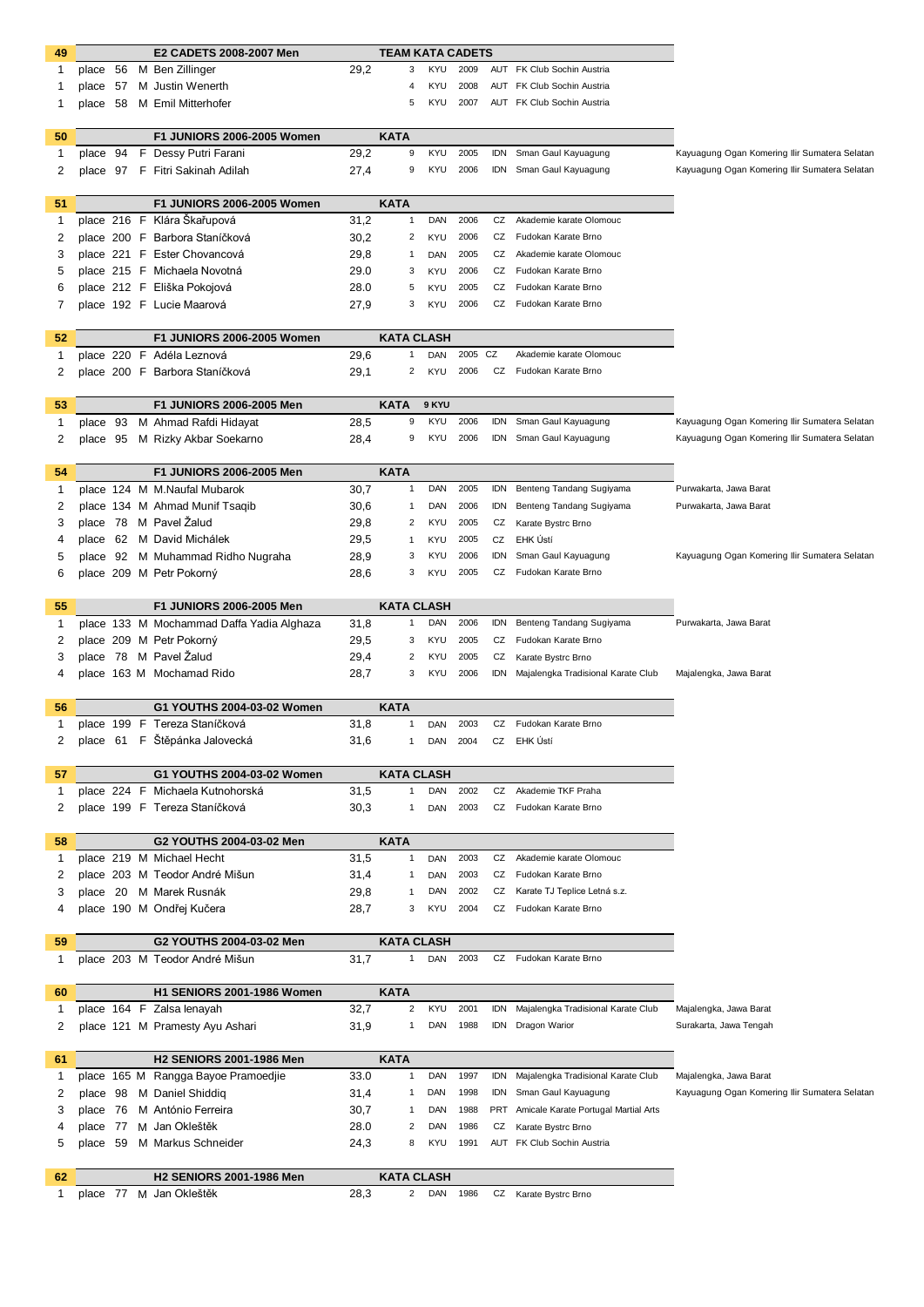| 49 |          | E2 CADETS 2008-2007 Men<br><b>TEAM KATA CADETS</b> |  |                                           |      |                         |            |          |            |                                          |                                               |
|----|----------|----------------------------------------------------|--|-------------------------------------------|------|-------------------------|------------|----------|------------|------------------------------------------|-----------------------------------------------|
| 1  |          |                                                    |  | place 56 M Ben Zillinger                  | 29,2 | 3                       | KYU        | 2009     |            | AUT FK Club Sochin Austria               |                                               |
| 1  |          |                                                    |  | place 57 M Justin Wenerth                 |      |                         | KYU        | 2008     |            | AUT FK Club Sochin Austria               |                                               |
| 1  |          |                                                    |  | place 58 M Emil Mitterhofer               |      | 5                       | KYU        | 2007     |            | AUT FK Club Sochin Austria               |                                               |
|    |          |                                                    |  |                                           |      |                         |            |          |            |                                          |                                               |
| 50 |          |                                                    |  | <b>F1 JUNIORS 2006-2005 Women</b>         |      | <b>KATA</b>             |            |          |            |                                          |                                               |
| 1  | place 94 |                                                    |  | F Dessy Putri Farani                      | 29,2 | 9                       | KYU        | 2005     | <b>IDN</b> | Sman Gaul Kayuagung                      | Kayuagung Ogan Komering Ilir Sumatera Selatan |
| 2  |          |                                                    |  | place 97 F Fitri Sakinah Adilah           | 27,4 | 9                       | KYU        | 2006     |            | IDN Sman Gaul Kayuagung                  | Kayuagung Ogan Komering Ilir Sumatera Selatan |
|    |          |                                                    |  |                                           |      |                         |            |          |            |                                          |                                               |
| 51 |          |                                                    |  | F1 JUNIORS 2006-2005 Women                |      | <b>KATA</b>             |            |          |            |                                          |                                               |
| 1  |          |                                                    |  | place 216 F Klára Škařupová               | 31,2 | $\mathbf{1}$            | DAN        | 2006     | CZ         | Akademie karate Olomouc                  |                                               |
| 2  |          |                                                    |  | place 200 F Barbora Staníčková            | 30,2 | 2                       | KYU        | 2006     | CZ         | Fudokan Karate Brno                      |                                               |
| 3  |          |                                                    |  | place 221 F Ester Chovancová              | 29,8 | -1                      | DAN        | 2005     | CZ         | Akademie karate Olomouc                  |                                               |
| 5  |          |                                                    |  | place 215 F Michaela Novotná              | 29.0 | 3                       | KYU        | 2006     |            | CZ Fudokan Karate Brno                   |                                               |
| 6  |          |                                                    |  | place 212 F Eliška Pokojová               | 28.0 | 5                       | <b>KYU</b> | 2005     | CZ         | Fudokan Karate Brno                      |                                               |
| 7  |          |                                                    |  | place 192 F Lucie Maarová                 | 27,9 | 3                       | KYU        | 2006     | CZ         | Fudokan Karate Brno                      |                                               |
|    |          |                                                    |  |                                           |      |                         |            |          |            |                                          |                                               |
| 52 |          |                                                    |  | <b>F1 JUNIORS 2006-2005 Women</b>         |      | <b>KATA CLASH</b>       |            |          |            |                                          |                                               |
| 1  |          |                                                    |  | place 220 F Adéla Leznová                 | 29,6 | $\mathbf{1}$            | <b>DAN</b> | 2005 CZ  |            | Akademie karate Olomouc                  |                                               |
| 2  |          |                                                    |  | place 200 F Barbora Staníčková            | 29,1 | 2                       | KYU        | 2006     |            | CZ Fudokan Karate Brno                   |                                               |
|    |          |                                                    |  |                                           |      |                         |            |          |            |                                          |                                               |
| 53 |          |                                                    |  | F1 JUNIORS 2006-2005 Men                  |      | <b>KATA</b>             | 9 KYU      |          |            |                                          |                                               |
| 1  |          |                                                    |  | place 93 M Ahmad Rafdi Hidayat            | 28,5 | 9                       | <b>KYU</b> | 2006     | IDN        | Sman Gaul Kayuagung                      | Kayuagung Ogan Komering Ilir Sumatera Selatan |
| 2  |          |                                                    |  | place 95 M Rizky Akbar Soekarno           | 28,4 | 9                       | <b>KYU</b> | 2006     |            | IDN Sman Gaul Kayuagung                  | Kayuagung Ogan Komering Ilir Sumatera Selatan |
|    |          |                                                    |  |                                           |      |                         |            |          |            |                                          |                                               |
| 54 |          |                                                    |  | <b>F1 JUNIORS 2006-2005 Men</b>           |      | <b>KATA</b>             | DAN        |          |            | Benteng Tandang Sugiyama                 |                                               |
| 1  |          |                                                    |  | place 124 M M.Naufal Mubarok              | 30,7 | $\mathbf{1}$            |            | 2005     | idn        |                                          | Purwakarta, Jawa Barat                        |
| 2  |          |                                                    |  | place 134 M Ahmad Munif Tsaqib            | 30,6 | $\mathbf{1}$            | DAN        | 2006     | IDN        | Benteng Tandang Sugiyama                 | Purwakarta, Jawa Barat                        |
| 3  |          |                                                    |  | place 78 M Pavel Žalud                    | 29,8 | 2                       | KYU        | 2005     | CZ         | Karate Bystrc Brno                       |                                               |
| 4  |          |                                                    |  | place 62 M David Michálek                 | 29,5 | $\mathbf{1}$            | KYU        | 2005     | CZ         | EHK Ústí                                 |                                               |
| 5  |          |                                                    |  | place 92 M Muhammad Ridho Nugraha         | 28,9 | 3                       | KYU        | 2006     | IDN        | Sman Gaul Kayuagung                      | Kayuagung Ogan Komering Ilir Sumatera Selatan |
| 6  |          |                                                    |  | place 209 M Petr Pokorný                  | 28,6 | 3                       | <b>KYU</b> | 2005     | CZ         | Fudokan Karate Brno                      |                                               |
| 55 |          |                                                    |  | F1 JUNIORS 2006-2005 Men                  |      | <b>KATA CLASH</b>       |            |          |            |                                          |                                               |
| 1  |          |                                                    |  | place 133 M Mochammad Daffa Yadia Alghaza | 31,8 | 1                       | DAN        | 2006     | IDN        | Benteng Tandang Sugiyama                 | Purwakarta, Jawa Barat                        |
| 2  |          |                                                    |  | place 209 M Petr Pokorný                  | 29,5 | 3                       | KYU        | 2005     | CZ         | Fudokan Karate Brno                      |                                               |
| 3  |          |                                                    |  | place 78 M Pavel Žalud                    | 29,4 | 2                       | KYU        | 2005     | CZ         | Karate Bystrc Brno                       |                                               |
| 4  |          |                                                    |  | place 163 M Mochamad Rido                 | 28,7 | 3                       | KYU        | 2006     |            | IDN Majalengka Tradisional Karate Club   | Majalengka, Jawa Barat                        |
|    |          |                                                    |  |                                           |      |                         |            |          |            |                                          |                                               |
| 56 |          |                                                    |  | G1 YOUTHS 2004-03-02 Women                |      | <b>KATA</b>             |            |          |            |                                          |                                               |
| 1  |          |                                                    |  | place 199 F Tereza Staníčková             | 31,8 | $\mathbf{1}$            | DAN        | 2003     |            | CZ Fudokan Karate Brno                   |                                               |
|    |          |                                                    |  | place 61 F Štěpánka Jalovecká             | 31,6 | $\mathbf{1}$            |            | DAN 2004 |            | CZ EHK Ústí                              |                                               |
|    |          |                                                    |  |                                           |      |                         |            |          |            |                                          |                                               |
| 57 |          |                                                    |  | G1 YOUTHS 2004-03-02 Women                |      | <b>KATA CLASH</b>       |            |          |            |                                          |                                               |
| 1  |          |                                                    |  | place 224 F Michaela Kutnohorská          | 31,5 | $\mathbf{1}$            | DAN        | 2002     | CZ         | Akademie TKF Praha                       |                                               |
| 2  |          |                                                    |  | place 199 F Tereza Staníčková             | 30,3 | 1                       | <b>DAN</b> | 2003     |            | CZ Fudokan Karate Brno                   |                                               |
|    |          |                                                    |  |                                           |      |                         |            |          |            |                                          |                                               |
| 58 |          |                                                    |  | G2 YOUTHS 2004-03-02 Men                  |      | <b>KATA</b>             |            |          |            |                                          |                                               |
| 1  |          |                                                    |  | place 219 M Michael Hecht                 | 31,5 | $\mathbf{1}$            | <b>DAN</b> | 2003     |            | CZ Akademie karate Olomouc               |                                               |
| 2  |          |                                                    |  | place 203 M Teodor André Mišun            | 31,4 | $\mathbf{1}$            | DAN        | 2003     | CZ         | Fudokan Karate Brno                      |                                               |
| 3  |          |                                                    |  | place 20 M Marek Rusnák                   | 29,8 | $\mathbf{1}$            | DAN        | 2002     | CZ         | Karate TJ Teplice Letná s.z.             |                                               |
| 4  |          |                                                    |  | place 190 M Ondřej Kučera                 | 28,7 | 3                       | KYU        | 2004     | CZ         | Fudokan Karate Brno                      |                                               |
|    |          |                                                    |  |                                           |      |                         |            |          |            |                                          |                                               |
| 59 |          |                                                    |  | G2 YOUTHS 2004-03-02 Men                  |      | <b>KATA CLASH</b>       |            |          |            |                                          |                                               |
| 1  |          |                                                    |  | place 203 M Teodor André Mišun            | 31,7 | $\mathbf{1}$            | DAN        | 2003     |            | CZ Fudokan Karate Brno                   |                                               |
| 60 |          |                                                    |  | <b>H1 SENIORS 2001-1986 Women</b>         |      | <b>KATA</b>             |            |          |            |                                          |                                               |
| 1  |          |                                                    |  | place 164 F Zalsa lenayah                 | 32,7 | $\overline{\mathbf{c}}$ | KYU        | 2001     | <b>IDN</b> | Majalengka Tradisional Karate Club       | Majalengka, Jawa Barat                        |
| 2  |          |                                                    |  | place 121 M Pramesty Ayu Ashari           | 31,9 | 1                       | DAN        | 1988     |            | IDN Dragon Warior                        | Surakarta, Jawa Tengah                        |
|    |          |                                                    |  |                                           |      |                         |            |          |            |                                          |                                               |
| 61 |          |                                                    |  | <b>H2 SENIORS 2001-1986 Men</b>           |      | <b>KATA</b>             |            |          |            |                                          |                                               |
| 1  |          |                                                    |  | place 165 M Rangga Bayoe Pramoedjie       | 33.0 | $\mathbf{1}$            | DAN        | 1997     | idn        | Majalengka Tradisional Karate Club       | Majalengka, Jawa Barat                        |
| 2  |          |                                                    |  | place 98 M Daniel Shiddig                 | 31,4 | -1                      | DAN        | 1998     |            | IDN Sman Gaul Kayuagung                  | Kayuagung Ogan Komering Ilir Sumatera Selatan |
| 3  |          |                                                    |  | place 76 M António Ferreira               | 30,7 | $\mathbf{1}$            | DAN        | 1988     |            | PRT Amicale Karate Portugal Martial Arts |                                               |
| 4  | place 77 |                                                    |  | M Jan Okleštěk                            | 28.0 | 2                       | DAN        | 1986     | CZ         | Karate Bystrc Brno                       |                                               |
| 5  |          |                                                    |  | place 59 M Markus Schneider               | 24,3 | 8                       | KYU        | 1991     |            | AUT FK Club Sochin Austria               |                                               |
|    |          |                                                    |  |                                           |      |                         |            |          |            |                                          |                                               |
| 62 |          |                                                    |  | <b>H2 SENIORS 2001-1986 Men</b>           |      | <b>KATA CLASH</b>       |            |          |            |                                          |                                               |
| 1  |          |                                                    |  | place 77 M Jan Okleštěk                   | 28,3 | 2                       | DAN        | 1986     |            | CZ Karate Bystrc Brno                    |                                               |